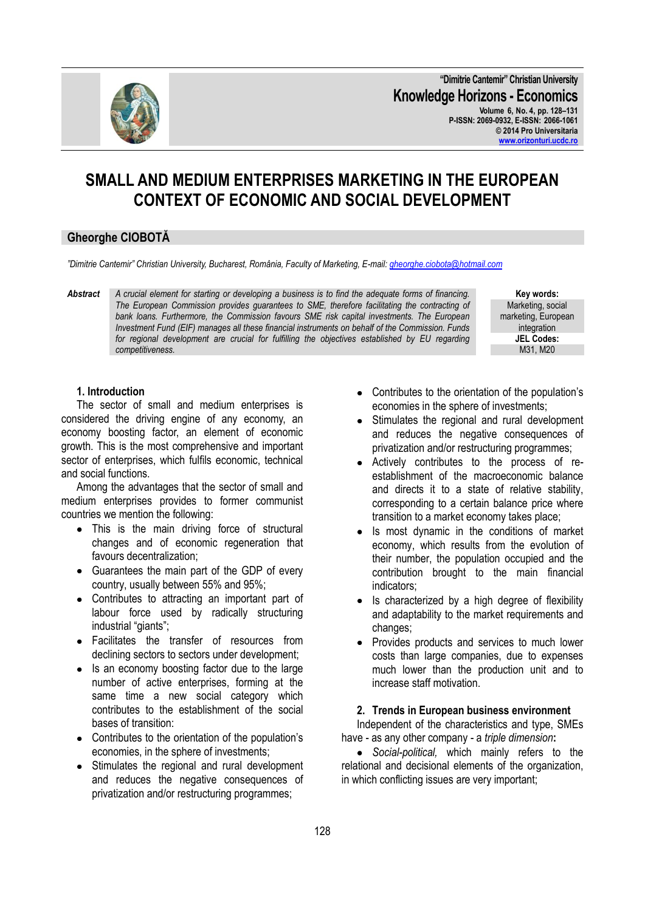128

**"Dimitrie Cantemir" Christian University Knowledge Horizons - Economics Volume 6, No. 4, pp. 128–131 P-ISSN: 2069-0932, E-ISSN: 2066-1061 © 2014 Pro Universitaria [www.orizonturi.ucdc.ro](http://www.orizonturi.ucdc.ro/)**

# **SMALL AND MEDIUM ENTERPRISES MARKETING IN THE EUROPEAN CONTEXT OF ECONOMIC AND SOCIAL DEVELOPMENT**

# **Gheorghe CIOBOTĂ**

*"Dimitrie Cantemir" Christian University, Bucharest, România, Faculty of Marketing, E-mail[: gheorghe.ciobota@hotmail.com](mailto:gheorghe.ciobota@hotmail.com)*

*Abstract A crucial element for starting or developing a business is to find the adequate forms of financing. The European Commission provides guarantees to SME, therefore facilitating the contracting of*  bank loans. Furthermore, the Commission favours SME risk capital investments. The European *Investment Fund (EIF) manages all these financial instruments on behalf of the Commission. Funds for regional development are crucial for fulfilling the objectives established by EU regarding competitiveness.* 

> Contributes to the orientation of the population's economies in the sphere of investments;

- Stimulates the regional and rural development  $\bullet$ and reduces the negative consequences of privatization and/or restructuring programmes;
- Actively contributes to the process of reestablishment of the macroeconomic balance and directs it to a state of relative stability, corresponding to a certain balance price where transition to a market economy takes place;
- Is most dynamic in the conditions of market economy, which results from the evolution of their number, the population occupied and the contribution brought to the main financial indicators;
- Is characterized by a high degree of flexibility and adaptability to the market requirements and changes;
- $\bullet$ Provides products and services to much lower costs than large companies, due to expenses much lower than the production unit and to increase staff motivation.

## **2. Trends in European business environment**

Independent of the characteristics and type, SMEs have - as any other company - a *triple dimension***:**

*Social-political,* which mainly refers to the relational and decisional elements of the organization, in which conflicting issues are very important;

#### **1. Introduction**

The sector of small and medium enterprises is considered the driving engine of any economy, an economy boosting factor, an element of economic growth. This is the most comprehensive and important sector of enterprises, which fulfils economic, technical and social functions.

Among the advantages that the sector of small and medium enterprises provides to former communist countries we mention the following:

- This is the main driving force of structural changes and of economic regeneration that favours decentralization;
- Guarantees the main part of the GDP of every country, usually between 55% and 95%;
- Contributes to attracting an important part of labour force used by radically structuring industrial "giants";
- Facilitates the transfer of resources from declining sectors to sectors under development;
- Is an economy boosting factor due to the large number of active enterprises, forming at the same time a new social category which contributes to the establishment of the social bases of transition:
- Contributes to the orientation of the population's economies, in the sphere of investments;
- Stimulates the regional and rural development  $\bullet$ and reduces the negative consequences of privatization and/or restructuring programmes;



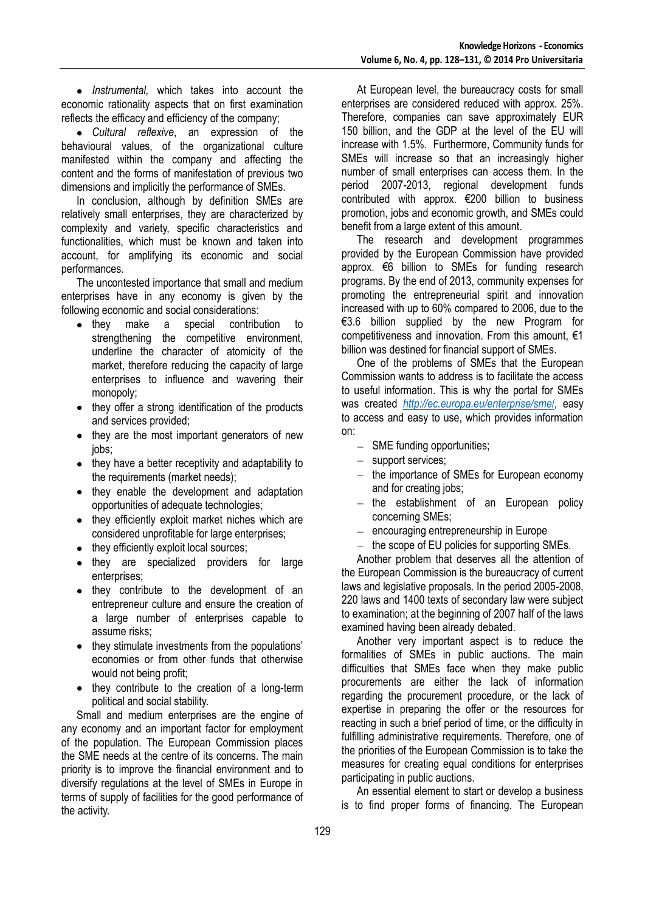*Instrumental,* which takes into account the economic rationality aspects that on first examination reflects the efficacy and efficiency of the company;

*Cultural reflexive*, an expression of the behavioural values, of the organizational culture manifested within the company and affecting the content and the forms of manifestation of previous two dimensions and implicitly the performance of SMEs.

In conclusion, although by definition SMEs are relatively small enterprises, they are characterized by complexity and variety, specific characteristics and functionalities, which must be known and taken into account, for amplifying its economic and social performances.

The uncontested importance that small and medium enterprises have in any economy is given by the following economic and social considerations:

- they make a special contribution to strengthening the competitive environment, underline the character of atomicity of the market, therefore reducing the capacity of large enterprises to influence and wavering their monopoly;
- they offer a strong identification of the products  $\bullet$ and services provided;
- they are the most important generators of new  $\bullet$ jobs;
- they have a better receptivity and adaptability to the requirements (market needs);
- they enable the development and adaptation opportunities of adequate technologies;
- they efficiently exploit market niches which are considered unprofitable for large enterprises;
- they efficiently exploit local sources;
- they are specialized providers for large enterprises;
- they contribute to the development of an entrepreneur culture and ensure the creation of a large number of enterprises capable to assume risks;
- they stimulate investments from the populations' economies or from other funds that otherwise would not being profit;
- they contribute to the creation of a long-term political and social stability.

Small and medium enterprises are the engine of any economy and an important factor for employment of the population. The European Commission places the SME needs at the centre of its concerns. The main priority is to improve the financial environment and to diversify regulations at the level of SMEs in Europe in terms of supply of facilities for the good performance of the activity.

At European level, the bureaucracy costs for small enterprises are considered reduced with approx. 25%. Therefore, companies can save approximately EUR 150 billion, and the GDP at the level of the EU will increase with 1.5%. Furthermore, Community funds for SMEs will increase so that an increasingly higher number of small enterprises can access them. In the period 2007-2013, regional development funds contributed with approx. €200 billion to business promotion, jobs and economic growth, and SMEs could benefit from a large extent of this amount.

The research and development programmes provided by the European Commission have provided approx. €6 billion to SMEs for funding research programs. By the end of 2013, community expenses for promoting the entrepreneurial spirit and innovation increased with up to 60% compared to 2006, due to the €3.6 billion supplied by the new Program for competitiveness and innovation. From this amount, €1 billion was destined for financial support of SMEs.

One of the problems of SMEs that the European Commission wants to address is to facilitate the access to useful information. This is why the portal for SMEs was created *[http://ec.europa.eu/enterprise/sme](http://ec.europa.eu/enterprise/sme/)*/*,* easy to access and easy to use, which provides information on:

- $-$  SME funding opportunities;
- support services:
- the importance of SMEs for European economy and for creating jobs;
- $-$  the establishment of an European policy concerning SMEs;
- encouraging entrepreneurship in Europe
- the scope of EU policies for supporting SMEs.

Another problem that deserves all the attention of the European Commission is the bureaucracy of current laws and legislative proposals. In the period 2005-2008, 220 laws and 1400 texts of secondary law were subject to examination; at the beginning of 2007 half of the laws examined having been already debated.

Another very important aspect is to reduce the formalities of SMEs in public auctions. The main difficulties that SMEs face when they make public procurements are either the lack of information regarding the procurement procedure, or the lack of expertise in preparing the offer or the resources for reacting in such a brief period of time, or the difficulty in fulfilling administrative requirements. Therefore, one of the priorities of the European Commission is to take the measures for creating equal conditions for enterprises participating in public auctions.

An essential element to start or develop a business is to find proper forms of financing. The European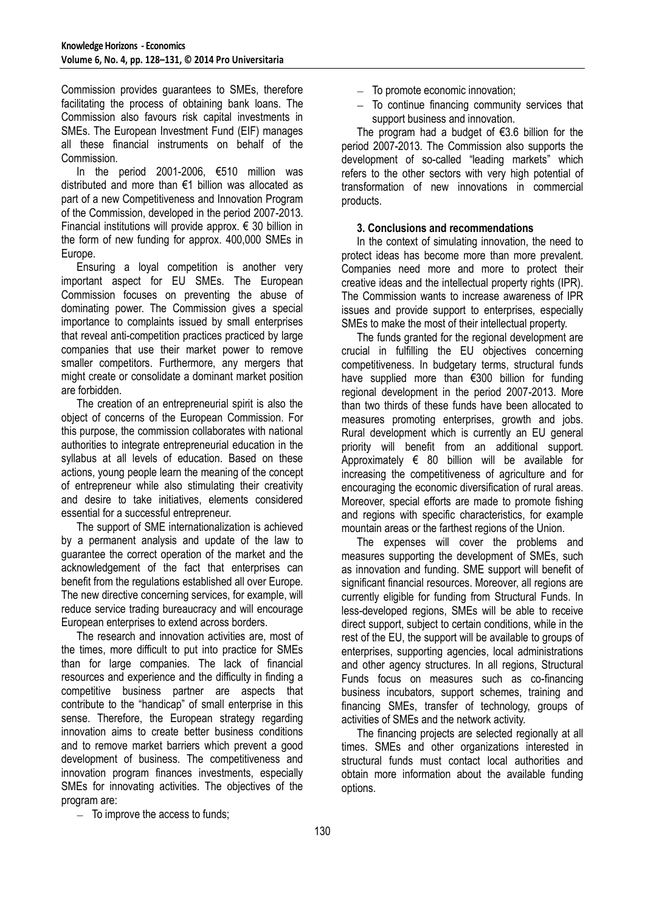Commission provides guarantees to SMEs, therefore facilitating the process of obtaining bank loans. The Commission also favours risk capital investments in SMEs. The European Investment Fund (EIF) manages all these financial instruments on behalf of the Commission.

In the period 2001-2006, €510 million was distributed and more than €1 billion was allocated as part of a new Competitiveness and Innovation Program of the Commission, developed in the period 2007-2013. Financial institutions will provide approx.  $\epsilon$  30 billion in the form of new funding for approx. 400,000 SMEs in Europe.

Ensuring a loyal competition is another very important aspect for EU SMEs. The European Commission focuses on preventing the abuse of dominating power. The Commission gives a special importance to complaints issued by small enterprises that reveal anti-competition practices practiced by large companies that use their market power to remove smaller competitors. Furthermore, any mergers that might create or consolidate a dominant market position are forbidden.

The creation of an entrepreneurial spirit is also the object of concerns of the European Commission. For this purpose, the commission collaborates with national authorities to integrate entrepreneurial education in the syllabus at all levels of education. Based on these actions, young people learn the meaning of the concept of entrepreneur while also stimulating their creativity and desire to take initiatives, elements considered essential for a successful entrepreneur.

The support of SME internationalization is achieved by a permanent analysis and update of the law to guarantee the correct operation of the market and the acknowledgement of the fact that enterprises can benefit from the regulations established all over Europe. The new directive concerning services, for example, will reduce service trading bureaucracy and will encourage European enterprises to extend across borders.

The research and innovation activities are, most of the times, more difficult to put into practice for SMEs than for large companies. The lack of financial resources and experience and the difficulty in finding a competitive business partner are aspects that contribute to the "handicap" of small enterprise in this sense. Therefore, the European strategy regarding innovation aims to create better business conditions and to remove market barriers which prevent a good development of business. The competitiveness and innovation program finances investments, especially SMEs for innovating activities. The objectives of the program are:

- $-$  To promote economic innovation:
- $-$  To continue financing community services that support business and innovation.

The program had a budget of  $\epsilon$ 3.6 billion for the period 2007-2013. The Commission also supports the development of so-called "leading markets" which refers to the other sectors with very high potential of transformation of new innovations in commercial products.

#### **3. Conclusions and recommendations**

In the context of simulating innovation, the need to protect ideas has become more than more prevalent. Companies need more and more to protect their creative ideas and the intellectual property rights (IPR). The Commission wants to increase awareness of IPR issues and provide support to enterprises, especially SMEs to make the most of their intellectual property.

The funds granted for the regional development are crucial in fulfilling the EU objectives concerning competitiveness. In budgetary terms, structural funds have supplied more than €300 billion for funding regional development in the period 2007-2013. More than two thirds of these funds have been allocated to measures promoting enterprises, growth and jobs. Rural development which is currently an EU general priority will benefit from an additional support. Approximately € 80 billion will be available for increasing the competitiveness of agriculture and for encouraging the economic diversification of rural areas. Moreover, special efforts are made to promote fishing and regions with specific characteristics, for example mountain areas or the farthest regions of the Union.

The expenses will cover the problems and measures supporting the development of SMEs, such as innovation and funding. SME support will benefit of significant financial resources. Moreover, all regions are currently eligible for funding from Structural Funds. In less-developed regions, SMEs will be able to receive direct support, subject to certain conditions, while in the rest of the EU, the support will be available to groups of enterprises, supporting agencies, local administrations and other agency structures. In all regions, Structural Funds focus on measures such as co-financing business incubators, support schemes, training and financing SMEs, transfer of technology, groups of activities of SMEs and the network activity.

The financing projects are selected regionally at all times. SMEs and other organizations interested in structural funds must contact local authorities and obtain more information about the available funding options.

 $-$  To improve the access to funds;